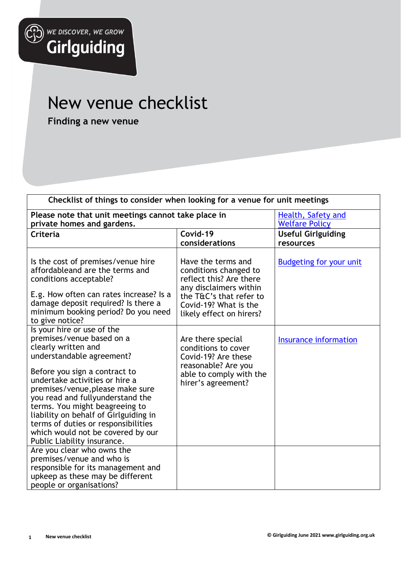

## New venue checklist

**Finding a new venue**

| Checklist of things to consider when looking for a venue for unit meetings                                                                                                                                                                                                                                                                                                                                                                   |                                                                                                                                                                                  |                                             |
|----------------------------------------------------------------------------------------------------------------------------------------------------------------------------------------------------------------------------------------------------------------------------------------------------------------------------------------------------------------------------------------------------------------------------------------------|----------------------------------------------------------------------------------------------------------------------------------------------------------------------------------|---------------------------------------------|
| Please note that unit meetings cannot take place in<br>private homes and gardens.                                                                                                                                                                                                                                                                                                                                                            |                                                                                                                                                                                  | Health, Safety and<br><b>Welfare Policy</b> |
| <b>Criteria</b>                                                                                                                                                                                                                                                                                                                                                                                                                              | Covid-19<br>considerations                                                                                                                                                       | <b>Useful Girlguiding</b><br>resources      |
| Is the cost of premises/venue hire<br>affordableand are the terms and<br>conditions acceptable?<br>E.g. How often can rates increase? Is a<br>damage deposit required? Is there a<br>minimum booking period? Do you need<br>to give notice?                                                                                                                                                                                                  | Have the terms and<br>conditions changed to<br>reflect this? Are there<br>any disclaimers within<br>the T&C's that refer to<br>Covid-19? What is the<br>likely effect on hirers? | <b>Budgeting for your unit</b>              |
| Is your hire or use of the<br>premises/venue based on a<br>clearly written and<br>understandable agreement?<br>Before you sign a contract to<br>undertake activities or hire a<br>premises/venue, please make sure<br>you read and fullyunderstand the<br>terms. You might beagreeing to<br>liability on behalf of Girlguiding in<br>terms of duties or responsibilities<br>which would not be covered by our<br>Public Liability insurance. | Are there special<br>conditions to cover<br>Covid-19? Are these<br>reasonable? Are you<br>able to comply with the<br>hirer's agreement?                                          | Insurance information                       |
| Are you clear who owns the<br>premises/venue and who is<br>responsible for its management and<br>upkeep as these may be different<br>people or organisations?                                                                                                                                                                                                                                                                                |                                                                                                                                                                                  |                                             |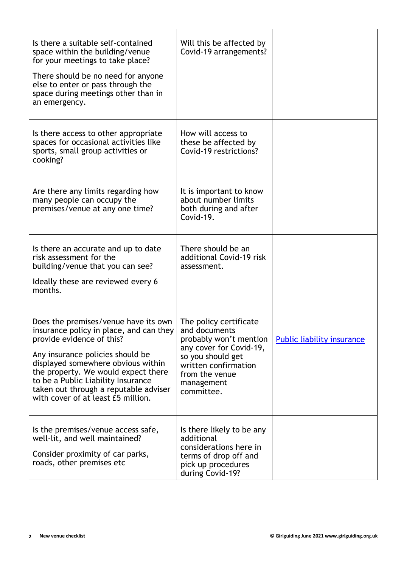| Is there a suitable self-contained<br>space within the building/venue<br>for your meetings to take place?<br>There should be no need for anyone<br>else to enter or pass through the<br>space during meetings other than in<br>an emergency.                                                                                                       | Will this be affected by<br>Covid-19 arrangements?                                                                                                                                      |                                   |
|----------------------------------------------------------------------------------------------------------------------------------------------------------------------------------------------------------------------------------------------------------------------------------------------------------------------------------------------------|-----------------------------------------------------------------------------------------------------------------------------------------------------------------------------------------|-----------------------------------|
| Is there access to other appropriate<br>spaces for occasional activities like<br>sports, small group activities or<br>cooking?                                                                                                                                                                                                                     | How will access to<br>these be affected by<br>Covid-19 restrictions?                                                                                                                    |                                   |
| Are there any limits regarding how<br>many people can occupy the<br>premises/venue at any one time?                                                                                                                                                                                                                                                | It is important to know<br>about number limits<br>both during and after<br>Covid-19.                                                                                                    |                                   |
| Is there an accurate and up to date<br>risk assessment for the<br>building/venue that you can see?<br>Ideally these are reviewed every 6<br>months.                                                                                                                                                                                                | There should be an<br>additional Covid-19 risk<br>assessment.                                                                                                                           |                                   |
| Does the premises/venue have its own<br>insurance policy in place, and can they<br>provide evidence of this?<br>Any insurance policies should be<br>displayed somewhere obvious within<br>the property. We would expect there<br>to be a Public Liability Insurance<br>taken out through a reputable adviser<br>with cover of at least £5 million. | The policy certificate<br>and documents<br>probably won't mention<br>any cover for Covid-19,<br>so you should get<br>written confirmation<br>from the venue<br>management<br>committee. | <b>Public liability insurance</b> |
| Is the premises/venue access safe,<br>well-lit, and well maintained?<br>Consider proximity of car parks,<br>roads, other premises etc.                                                                                                                                                                                                             | Is there likely to be any<br>additional<br>considerations here in<br>terms of drop off and<br>pick up procedures<br>during Covid-19?                                                    |                                   |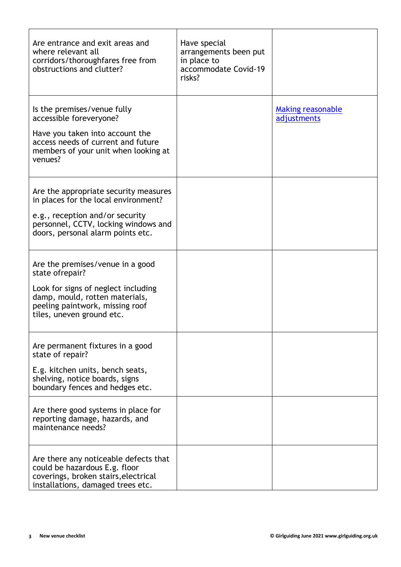| Are entrance and exit areas and<br>where relevant all<br>corridors/thoroughfares free from<br>obstructions and clutter?                                                                       | Have special<br>arrangements been put<br>in place to<br>accommodate Covid-19<br>risks? |                                         |
|-----------------------------------------------------------------------------------------------------------------------------------------------------------------------------------------------|----------------------------------------------------------------------------------------|-----------------------------------------|
| Is the premises/venue fully<br>accessible foreveryone?<br>Have you taken into account the<br>access needs of current and future<br>members of your unit when looking at<br>venues?            |                                                                                        | <b>Making reasonable</b><br>adjustments |
| Are the appropriate security measures<br>in places for the local environment?<br>e.g., reception and/or security<br>personnel, CCTV, locking windows and<br>doors, personal alarm points etc. |                                                                                        |                                         |
| Are the premises/venue in a good<br>state ofrepair?<br>Look for signs of neglect including<br>damp, mould, rotten materials,<br>peeling paintwork, missing roof<br>tiles, uneven ground etc.  |                                                                                        |                                         |
| Are permanent fixtures in a good<br>state of repair?<br>E.g. kitchen units, bench seats,<br>shelving, notice boards, signs<br>boundary fences and hedges etc.                                 |                                                                                        |                                         |
| Are there good systems in place for<br>reporting damage, hazards, and<br>maintenance needs?                                                                                                   |                                                                                        |                                         |
| Are there any noticeable defects that<br>could be hazardous E.g. floor<br>coverings, broken stairs, electrical<br>installations, damaged trees etc.                                           |                                                                                        |                                         |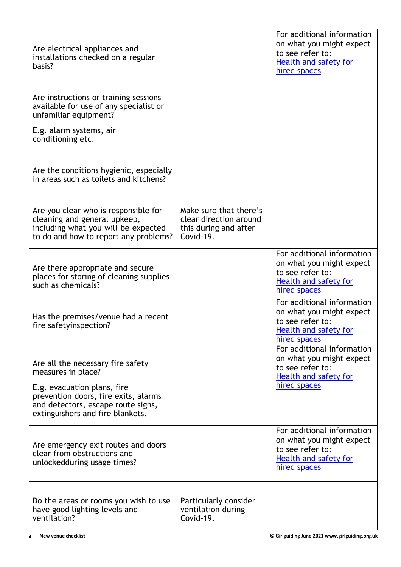| Are electrical appliances and<br>installations checked on a regular<br>basis?                                                                                                                            |                                                                                        | For additional information<br>on what you might expect<br>to see refer to:<br>Health and safety for<br>hired spaces |
|----------------------------------------------------------------------------------------------------------------------------------------------------------------------------------------------------------|----------------------------------------------------------------------------------------|---------------------------------------------------------------------------------------------------------------------|
| Are instructions or training sessions<br>available for use of any specialist or<br>unfamiliar equipment?<br>E.g. alarm systems, air<br>conditioning etc.                                                 |                                                                                        |                                                                                                                     |
| Are the conditions hygienic, especially<br>in areas such as toilets and kitchens?                                                                                                                        |                                                                                        |                                                                                                                     |
| Are you clear who is responsible for<br>cleaning and general upkeep,<br>including what you will be expected<br>to do and how to report any problems?                                                     | Make sure that there's<br>clear direction around<br>this during and after<br>Covid-19. |                                                                                                                     |
| Are there appropriate and secure<br>places for storing of cleaning supplies<br>such as chemicals?                                                                                                        |                                                                                        | For additional information<br>on what you might expect<br>to see refer to:<br>Health and safety for<br>hired spaces |
| Has the premises/venue had a recent<br>fire safetyinspection?                                                                                                                                            |                                                                                        | For additional information<br>on what you might expect<br>to see refer to:<br>Health and safety for<br>hired spaces |
| Are all the necessary fire safety<br>measures in place?<br>E.g. evacuation plans, fire<br>prevention doors, fire exits, alarms<br>and detectors, escape route signs,<br>extinguishers and fire blankets. |                                                                                        | For additional information<br>on what you might expect<br>to see refer to:<br>Health and safety for<br>hired spaces |
| Are emergency exit routes and doors<br>clear from obstructions and<br>unlockedduring usage times?                                                                                                        |                                                                                        | For additional information<br>on what you might expect<br>to see refer to:<br>Health and safety for<br>hired spaces |
| Do the areas or rooms you wish to use<br>have good lighting levels and<br>ventilation?                                                                                                                   | Particularly consider<br>ventilation during<br>Covid-19.                               |                                                                                                                     |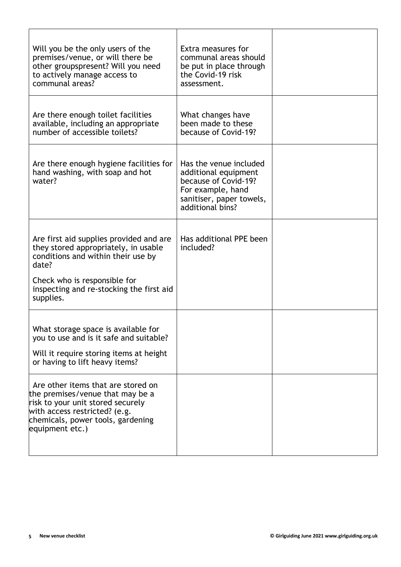| Will you be the only users of the<br>premises/venue, or will there be<br>other groupspresent? Will you need<br>to actively manage access to<br>communal areas?                                                          | Extra measures for<br>communal areas should<br>be put in place through<br>the Covid-19 risk<br>assessment.                                  |  |
|-------------------------------------------------------------------------------------------------------------------------------------------------------------------------------------------------------------------------|---------------------------------------------------------------------------------------------------------------------------------------------|--|
| Are there enough toilet facilities<br>available, including an appropriate<br>number of accessible toilets?                                                                                                              | What changes have<br>been made to these<br>because of Covid-19?                                                                             |  |
| Are there enough hygiene facilities for<br>hand washing, with soap and hot<br>water?                                                                                                                                    | Has the venue included<br>additional equipment<br>because of Covid-19?<br>For example, hand<br>sanitiser, paper towels,<br>additional bins? |  |
| Are first aid supplies provided and are<br>they stored appropriately, in usable<br>conditions and within their use by<br>date?<br>Check who is responsible for<br>inspecting and re-stocking the first aid<br>supplies. | Has additional PPE been<br>included?                                                                                                        |  |
| What storage space is available for<br>you to use and is it safe and suitable?<br>Will it require storing items at height<br>or having to lift heavy items?                                                             |                                                                                                                                             |  |
| Are other items that are stored on<br>the premises/venue that may be a<br>risk to your unit stored securely<br>with access restricted? (e.g.<br>chemicals, power tools, gardening<br>equipment etc.)                    |                                                                                                                                             |  |